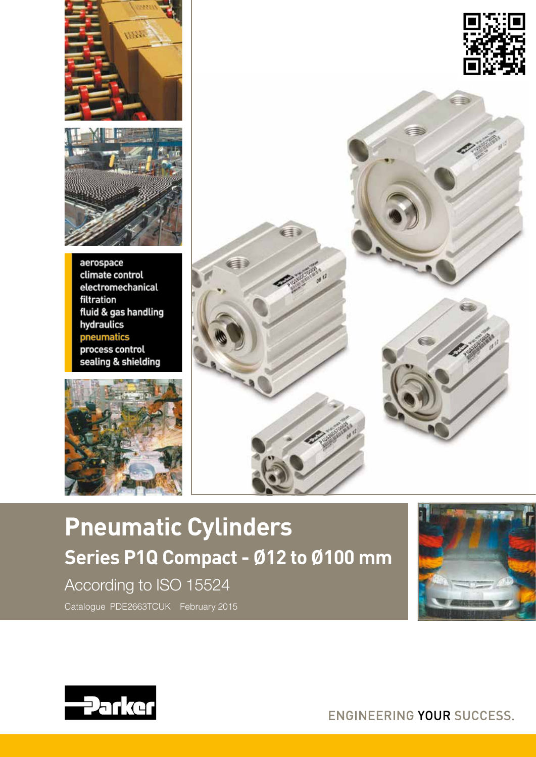

aerospace climate control electromechanical filtration fluid & gas handling hydraulics pneumatics process control sealing & shielding





Catalogue PDE2663TCUK February 2015 **Pneumatic Cylinders Series P1Q Compact - Ø12 to Ø100 mm** According to ISO 15524





ENGINEERING YOUR SUCCESS.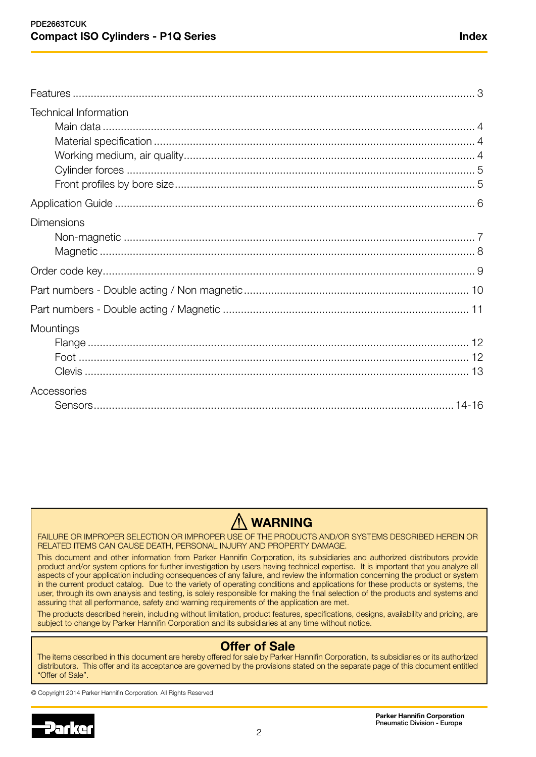| <b>Technical Information</b> |  |
|------------------------------|--|
|                              |  |
|                              |  |
|                              |  |
|                              |  |
|                              |  |
|                              |  |
| <b>Dimensions</b>            |  |
|                              |  |
|                              |  |
|                              |  |
|                              |  |
|                              |  |
| Mountings                    |  |
|                              |  |
|                              |  |
|                              |  |
| Accessories                  |  |
|                              |  |

# **/!\ WARNING**

#### FAILURE OR IMPROPER SELECTION OR IMPROPER USE OF THE PRODUCTS AND/OR SYSTEMS DESCRIBED HEREIN OR RELATED ITEMS CAN CAUSE DEATH, PERSONAL INJURY AND PROPERTY DAMAGE.

This document and other information from Parker Hannifin Corporation, its subsidiaries and authorized distributors provide product and/or system options for further investigation by users having technical expertise. It is important that you analyze all aspects of your application including consequences of any failure, and review the information concerning the product or system in the current product catalog. Due to the variety of operating conditions and applications for these products or systems, the user, through its own analysis and testing, is solely responsible for making the final selection of the products and systems and assuring that all performance, safety and warning requirements of the application are met.

The products described herein, including without limitation, product features, specifications, designs, availability and pricing, are subject to change by Parker Hannifin Corporation and its subsidiaries at any time without notice.

# Offer of Sale

The items described in this document are hereby offered for sale by Parker Hannifin Corporation, its subsidiaries or its authorized distributors. This offer and its acceptance are governed by the provisions stated on the separate page of this document entitled "Offer of Sale".

© Copyright 2014 Parker Hannifin Corporation. All Rights Reserved

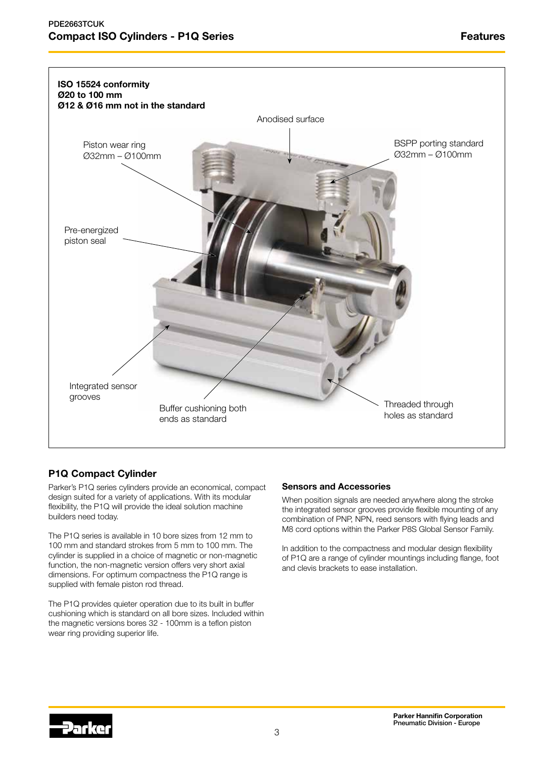

# P1Q Compact Cylinder

Parker's P1Q series cylinders provide an economical, compact design suited for a variety of applications. With its modular flexibility, the P1Q will provide the ideal solution machine builders need today.

The P1Q series is available in 10 bore sizes from 12 mm to 100 mm and standard strokes from 5 mm to 100 mm. The cylinder is supplied in a choice of magnetic or non-magnetic function, the non-magnetic version offers very short axial dimensions. For optimum compactness the P1Q range is supplied with female piston rod thread.

The P1Q provides quieter operation due to its built in buffer cushioning which is standard on all bore sizes. Included within the magnetic versions bores 32 - 100mm is a teflon piston wear ring providing superior life.

## Sensors and Accessories

When position signals are needed anywhere along the stroke the integrated sensor grooves provide flexible mounting of any combination of PNP, NPN, reed sensors with flying leads and M8 cord options within the Parker P8S Global Sensor Family.

In addition to the compactness and modular design flexibility of P1Q are a range of cylinder mountings including flange, foot and clevis brackets to ease installation.

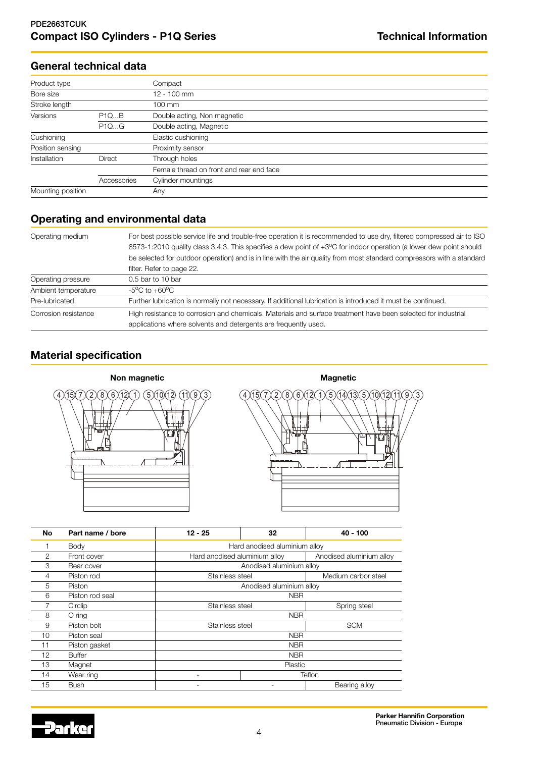# General technical data

| Product type        |               | Compact                                  |
|---------------------|---------------|------------------------------------------|
| Bore size           |               | 12 - 100 mm                              |
| Stroke length       |               | $100 \text{ mm}$                         |
| Versions            | P1QB          | Double acting, Non magnetic              |
|                     | P1QG          | Double acting, Magnetic                  |
| Cushioning          |               | Elastic cushioning                       |
| Position sensing    |               | Proximity sensor                         |
| <b>Installation</b> | <b>Direct</b> | Through holes                            |
|                     |               | Female thread on front and rear end face |
|                     | Accessories   | Cylinder mountings                       |
| Mounting position   |               | Any                                      |

# Operating and environmental data

| Operating medium     | For best possible service life and trouble-free operation it is recommended to use dry, filtered compressed air to ISO<br>8573-1:2010 quality class 3.4.3. This specifies a dew point of +3 <sup>o</sup> C for indoor operation (a lower dew point should<br>be selected for outdoor operation) and is in line with the air quality from most standard compressors with a standard |
|----------------------|------------------------------------------------------------------------------------------------------------------------------------------------------------------------------------------------------------------------------------------------------------------------------------------------------------------------------------------------------------------------------------|
|                      | filter. Refer to page 22.                                                                                                                                                                                                                                                                                                                                                          |
| Operating pressure   | 0.5 bar to 10 bar                                                                                                                                                                                                                                                                                                                                                                  |
| Ambient temperature  | $-5\degree$ C to $+60\degree$ C                                                                                                                                                                                                                                                                                                                                                    |
| Pre-lubricated       | Further lubrication is normally not necessary. If additional lubrication is introduced it must be continued.                                                                                                                                                                                                                                                                       |
| Corrosion resistance | High resistance to corrosion and chemicals. Materials and surface treatment have been selected for industrial<br>applications where solvents and detergents are frequently used.                                                                                                                                                                                                   |

# Material specification



| No | Part name / bore | $12 - 25$                     | 32                            | $40 - 100$               |  |  |
|----|------------------|-------------------------------|-------------------------------|--------------------------|--|--|
|    | Body             |                               | Hard anodised aluminium alloy |                          |  |  |
| 2  | Front cover      | Hard anodised aluminium alloy |                               | Anodised aluminium alloy |  |  |
| 3  | Rear cover       |                               | Anodised aluminium alloy      |                          |  |  |
| 4  | Piston rod       | Stainless steel               |                               | Medium carbor steel      |  |  |
| 5  | Piston           |                               | Anodised aluminium alloy      |                          |  |  |
| 6  | Piston rod seal  |                               | <b>NBR</b>                    |                          |  |  |
|    | Circlip          | Stainless steel               |                               | Spring steel             |  |  |
| 8  | $O$ ring         |                               | <b>NBR</b>                    |                          |  |  |
| 9  | Piston bolt      | Stainless steel               |                               | <b>SCM</b>               |  |  |
| 10 | Piston seal      |                               | <b>NBR</b>                    |                          |  |  |
| 11 | Piston gasket    |                               | <b>NBR</b>                    |                          |  |  |
| 12 | <b>Buffer</b>    |                               | <b>NBR</b>                    |                          |  |  |
| 13 | Magnet           |                               | Plastic                       |                          |  |  |
| 14 | Wear ring        |                               |                               | Teflon                   |  |  |
| 15 | Bush             |                               |                               | Bearing alloy            |  |  |

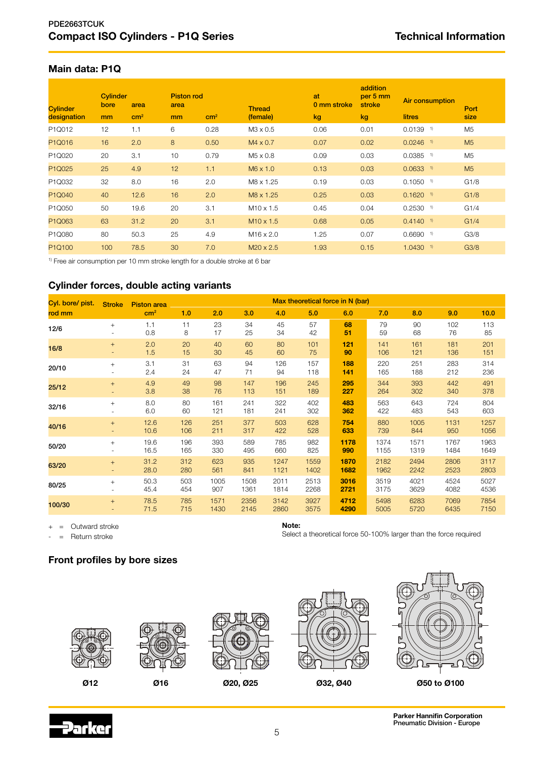# Main data: P1Q

| bore | area          | area            |                 | <b>Thread</b>     | at<br>0 mm stroke | addition<br>per 5 mm<br>stroke | <b>Air consumption</b> | Port           |
|------|---------------|-----------------|-----------------|-------------------|-------------------|--------------------------------|------------------------|----------------|
| mm   | $\text{cm}^2$ | mm              | cm <sup>2</sup> | (female)          | kg                | kg                             | <b>litres</b>          | size           |
| 12   | 1.1           | 6               | 0.28            | $M3 \times 0.5$   | 0.06              | 0.01                           | $0.0139$ <sup>1)</sup> | M <sub>5</sub> |
| 16   | 2.0           | 8               | 0.50            | $M4 \times 0.7$   | 0.07              | 0.02                           | $0.0246$ <sup>1)</sup> | M <sub>5</sub> |
| 20   | 3.1           | 10              | 0.79            | $M5 \times 0.8$   | 0.09              | 0.03                           | $0.0385$ <sup>1)</sup> | M <sub>5</sub> |
| 25   | 4.9           | 12              | 1.1             | $M6 \times 1.0$   | 0.13              | 0.03                           | $0.0633$ <sup>1)</sup> | M <sub>5</sub> |
| 32   | 8.0           | 16              | 2.0             | M8 x 1.25         | 0.19              | 0.03                           | $0.1050$ <sup>1)</sup> | G1/8           |
| 40   | 12.6          | 16              | 2.0             | M8 x 1.25         | 0.25              | 0.03                           | $0.1620$ <sup>1)</sup> | G1/8           |
| 50   | 19.6          | 20              | 3.1             | $M10 \times 1.5$  | 0.45              | 0.04                           | $0.2530$ <sup>1)</sup> | G1/4           |
| 63   | 31.2          | 20              | 3.1             | $M10 \times 1.5$  | 0.68              | 0.05                           | $0.4140$ <sup>1)</sup> | G1/4           |
| 80   | 50.3          | 25              | 4.9             | $M16 \times 2.0$  | 1.25              | 0.07                           | $0.6690$ <sup>1)</sup> | G3/8           |
| 100  | 78.5          | 30              | 7.0             | $M20 \times 2.5$  | 1.93              | 0.15                           | $1.0430$ <sup>1)</sup> | G3/8           |
|      |               | <b>Cylinder</b> |                 | <b>Piston rod</b> |                   |                                |                        |                |

<sup>1)</sup> Free air consumption per 10 mm stroke length for a double stroke at 6 bar

# Cylinder forces, double acting variants

| Cyl. bore/ pist. | <b>Stroke</b> | <b>Piston area</b> | Max theoretical force in N (bar) |              |              |              |              |              |              |              |              |              |  |  |
|------------------|---------------|--------------------|----------------------------------|--------------|--------------|--------------|--------------|--------------|--------------|--------------|--------------|--------------|--|--|
| rod mm           |               | cm <sup>2</sup>    | 1.0                              | 2.0          | 3.0          | 4.0          | 5.0          | 6.0          | 7.0          | 8.0          | 9.0          | 10.0         |  |  |
| 12/6             | $^{+}$        | 1.1<br>0.8         | 11<br>8                          | 23<br>17     | 34<br>25     | 45<br>34     | 57<br>42     | 68<br>51     | 79<br>59     | 90<br>68     | 102<br>76    | 113<br>85    |  |  |
| 16/8             | $+$           | 2.0<br>1.5         | 20<br>15                         | 40<br>30     | 60<br>45     | 80<br>60     | 101<br>75    | 121<br>90    | 141<br>106   | 161<br>121   | 181<br>136   | 201<br>151   |  |  |
| 20/10            | $+$           | 3.1<br>2.4         | 31<br>24                         | 63<br>47     | 94<br>71     | 126<br>94    | 157<br>118   | 188<br>141   | 220<br>165   | 251<br>188   | 283<br>212   | 314<br>236   |  |  |
| 25/12            | $+$           | 4.9<br>3.8         | 49<br>38                         | 98<br>76     | 147<br>113   | 196<br>151   | 245<br>189   | 295<br>227   | 344<br>264   | 393<br>302   | 442<br>340   | 491<br>378   |  |  |
| 32/16            | $^{+}$        | 8.0<br>6.0         | 80<br>60                         | 161<br>121   | 241<br>181   | 322<br>241   | 402<br>302   | 483<br>362   | 563<br>422   | 643<br>483   | 724<br>543   | 804<br>603   |  |  |
| 40/16            | $+$           | 12.6<br>10.6       | 126<br>106                       | 251<br>211   | 377<br>317   | 503<br>422   | 628<br>528   | 754<br>633   | 880<br>739   | 1005<br>844  | 1131<br>950  | 1257<br>1056 |  |  |
| 50/20            | $+$           | 19.6<br>16.5       | 196<br>165                       | 393<br>330   | 589<br>495   | 785<br>660   | 982<br>825   | 1178<br>990  | 1374<br>1155 | 1571<br>1319 | 1767<br>1484 | 1963<br>1649 |  |  |
| 63/20            | $+$<br>$\sim$ | 31.2<br>28.0       | 312<br>280                       | 623<br>561   | 935<br>841   | 1247<br>1121 | 1559<br>1402 | 1870<br>1682 | 2182<br>1962 | 2494<br>2242 | 2806<br>2523 | 3117<br>2803 |  |  |
| 80/25            | $+$           | 50.3<br>45.4       | 503<br>454                       | 1005<br>907  | 1508<br>1361 | 2011<br>1814 | 2513<br>2268 | 3016<br>2721 | 3519<br>3175 | 4021<br>3629 | 4524<br>4082 | 5027<br>4536 |  |  |
| 100/30           | $+$           | 78.5<br>71.5       | 785<br>715                       | 1571<br>1430 | 2356<br>2145 | 3142<br>2860 | 3927<br>3575 | 4712<br>4290 | 5498<br>5005 | 6283<br>5720 | 7069<br>6435 | 7854<br>7150 |  |  |

= Outward stroke

= Return stroke

# Note:

Select a theoretical force 50-100% larger than the force required

# Front profiles by bore sizes

















Parker Hannifin Corporation Pneumatic Division - Europe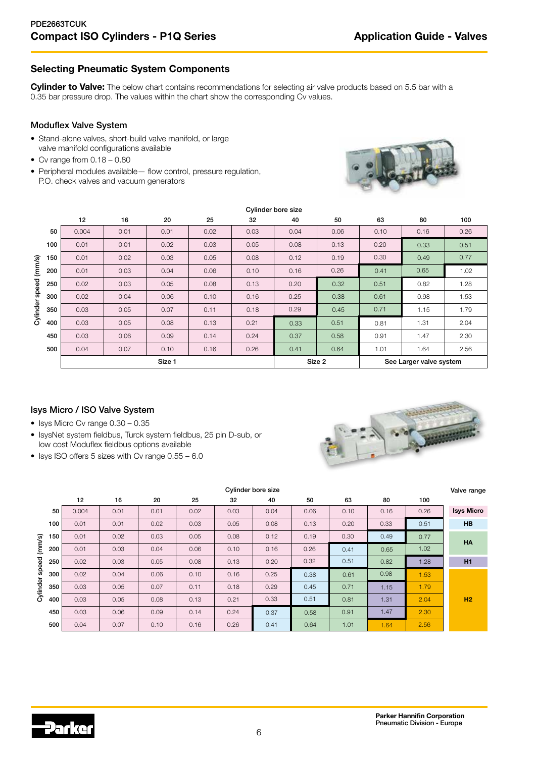# Selecting Pneumatic System Components

Cylinder to Valve: The below chart contains recommendations for selecting air valve products based on 5.5 bar with a 0.35 bar pressure drop. The values within the chart show the corresponding Cv values.

#### Moduflex Valve System

- Stand-alone valves, short-build valve manifold, or large valve manifold configurations available
- Cv range from 0.18 0.80
- Peripheral modules available— flow control, pressure regulation, P.O. check valves and vacuum generators



|                |     | Cylinder bore size |      |        |      |      |        |      |      |                         |      |
|----------------|-----|--------------------|------|--------|------|------|--------|------|------|-------------------------|------|
|                |     | 12                 | 16   | 20     | 25   | 32   | 40     | 50   | 63   | 80                      | 100  |
|                | 50  | 0.004              | 0.01 | 0.01   | 0.02 | 0.03 | 0.04   | 0.06 | 0.10 | 0.16                    | 0.26 |
|                | 100 | 0.01               | 0.01 | 0.02   | 0.03 | 0.05 | 0.08   | 0.13 | 0.20 | 0.33                    | 0.51 |
|                | 150 | 0.01               | 0.02 | 0.03   | 0.05 | 0.08 | 0.12   | 0.19 | 0.30 | 0.49                    | 0.77 |
| (mm/s)         | 200 | 0.01               | 0.03 | 0.04   | 0.06 | 0.10 | 0.16   | 0.26 | 0.41 | 0.65                    | 1.02 |
|                | 250 | 0.02               | 0.03 | 0.05   | 0.08 | 0.13 | 0.20   | 0.32 | 0.51 | 0.82                    | 1.28 |
|                | 300 | 0.02               | 0.04 | 0.06   | 0.10 | 0.16 | 0.25   | 0.38 | 0.61 | 0.98                    | 1.53 |
| Cylinder speed | 350 | 0.03               | 0.05 | 0.07   | 0.11 | 0.18 | 0.29   | 0.45 | 0.71 | 1.15                    | 1.79 |
|                | 400 | 0.03               | 0.05 | 0.08   | 0.13 | 0.21 | 0.33   | 0.51 | 0.81 | 1.31                    | 2.04 |
|                | 450 | 0.03               | 0.06 | 0.09   | 0.14 | 0.24 | 0.37   | 0.58 | 0.91 | 1.47                    | 2.30 |
|                | 500 | 0.04               | 0.07 | 0.10   | 0.16 | 0.26 | 0.41   | 0.64 | 1.01 | 1.64                    | 2.56 |
|                |     |                    |      | Size 1 |      |      | Size 2 |      |      | See Larger valve system |      |

## Isys Micro / ISO Valve System

- Isys Micro Cv range 0.30 0.35
- IsysNet system fieldbus, Turck system fieldbus, 25 pin D-sub, or low cost Moduflex fieldbus options available
- Isys ISO offers 5 sizes with Cv range 0.55 6.0



|                |     | Cylinder bore size |      |      |      |      |      |      |      |      | Valve range |                   |
|----------------|-----|--------------------|------|------|------|------|------|------|------|------|-------------|-------------------|
|                |     | 12                 | 16   | 20   | 25   | 32   | 40   | 50   | 63   | 80   | 100         |                   |
|                | 50  | 0.004              | 0.01 | 0.01 | 0.02 | 0.03 | 0.04 | 0.06 | 0.10 | 0.16 | 0.26        | <b>Isys Micro</b> |
|                | 100 | 0.01               | 0.01 | 0.02 | 0.03 | 0.05 | 0.08 | 0.13 | 0.20 | 0.33 | 0.51        | <b>HB</b>         |
|                | 150 | 0.01               | 0.02 | 0.03 | 0.05 | 0.08 | 0.12 | 0.19 | 0.30 | 0.49 | 0.77        | <b>HA</b>         |
| (mm/s)         | 200 | 0.01               | 0.03 | 0.04 | 0.06 | 0.10 | 0.16 | 0.26 | 0.41 | 0.65 | 1.02        |                   |
|                | 250 | 0.02               | 0.03 | 0.05 | 0.08 | 0.13 | 0.20 | 0.32 | 0.51 | 0.82 | 1.28        | H1                |
| Cylinder speed | 300 | 0.02               | 0.04 | 0.06 | 0.10 | 0.16 | 0.25 | 0.38 | 0.61 | 0.98 | 1.53        |                   |
|                | 350 | 0.03               | 0.05 | 0.07 | 0.11 | 0.18 | 0.29 | 0.45 | 0.71 | 1.15 | 1.79        |                   |
|                | 400 | 0.03               | 0.05 | 0.08 | 0.13 | 0.21 | 0.33 | 0.51 | 0.81 | 1.31 | 2.04        | H2                |
|                | 450 | 0.03               | 0.06 | 0.09 | 0.14 | 0.24 | 0.37 | 0.58 | 0.91 | 1.47 | 2.30        |                   |
|                | 500 | 0.04               | 0.07 | 0.10 | 0.16 | 0.26 | 0.41 | 0.64 | 1.01 | 1.64 | 2.56        |                   |

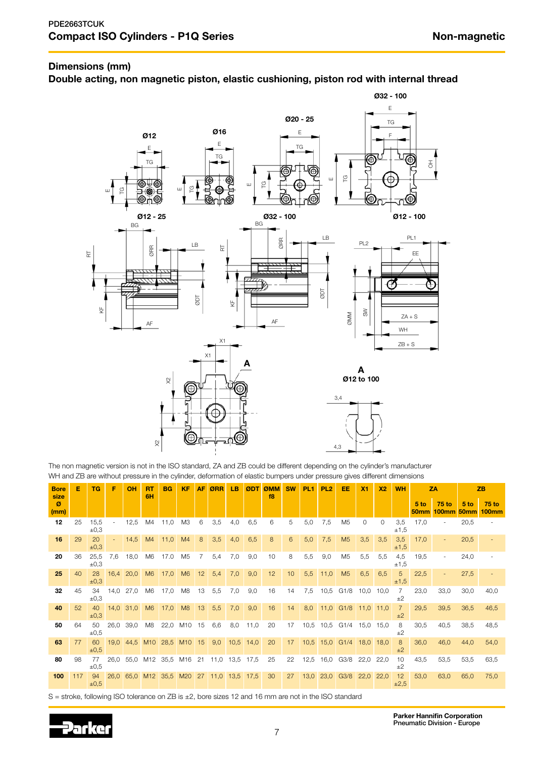# Dimensions (mm)

Double acting, non magnetic piston, elastic cushioning, piston rod with internal thread



The non magnetic version is not in the ISO standard, ZA and ZB could be different depending on the cylinder's manufacturer WH and ZB are without pressure in the cylinder, deformation of elastic bumpers under pressure gives different dimensions

| <b>Bore</b><br>size | Е   | <b>TG</b>       | F           | OH   | <b>RT</b><br>6H | <b>BG</b>                 | <b>KF</b>      | <b>AF</b> | ØRR          | <b>LB</b> | ØDT  | ØMM<br>f <sub>8</sub> | <b>SW</b>       | PL <sub>1</sub> | PL <sub>2</sub> | EE.            | X <sub>1</sub> | X <sub>2</sub> | <b>WH</b>              |                                     | ZA                    |                         | <b>ZB</b>                    |
|---------------------|-----|-----------------|-------------|------|-----------------|---------------------------|----------------|-----------|--------------|-----------|------|-----------------------|-----------------|-----------------|-----------------|----------------|----------------|----------------|------------------------|-------------------------------------|-----------------------|-------------------------|------------------------------|
| ø<br>(mm)           |     |                 |             |      |                 |                           |                |           |              |           |      |                       |                 |                 |                 |                |                |                |                        | 5 <sub>to</sub><br>50 <sub>mm</sub> | 75 to<br><b>100mm</b> | 5 <sub>to</sub><br>50mm | <b>75 to</b><br><b>100mm</b> |
| 12                  | 25  | 15,5<br>±0,3    |             | 12,5 | M4              | 11,0                      | ΜЗ             | 6         | 3,5          | 4,0       | 6,5  | 6                     | 5               | 5,0             | 7,5             | M5             | 0              | $\mathbf{0}$   | 3,5<br>±1,5            | 17,0                                | $\sim$                | 20,5                    | $\sim$                       |
| 16                  | 29  | 20<br>±0,3      |             | 14,5 | M4              | 11,0                      | M4             | 8         | 3,5          | 4,0       | 6,5  | 8                     | 6               | 5,0             | 7,5             | M <sub>5</sub> | 3,5            | 3,5            | 3,5<br>±1,5            | 17.0                                | $\sim$                | 20,5                    |                              |
| 20                  | 36  | 25.5<br>±0,3    | 7.6         | 18.0 | M6              | 17.0                      | M5             | 7         | 5,4          | 7,0       | 9,0  | 10                    | 8               | 5,5             | 9,0             | M5             | 5,5            | 5,5            | 4,5<br>±1,5            | 19.5                                | $\sim$                | 24,0                    | $\sim$                       |
| 25                  | 40  | 28<br>±0,3      | 16.4        | 20,0 | M <sub>6</sub>  | 17,0                      | M <sub>6</sub> | 12        | 5,4          | 7,0       | 9,0  | 12                    | 10 <sup>°</sup> | 5,5             | 11,0            | M <sub>5</sub> | 6,5            | 6,5            | 5 <sup>5</sup><br>±1.5 | 22,5                                | $\sim$                | 27,5                    | $\overline{\phantom{a}}$     |
| 32                  | 45  | 34<br>±0.3      | 14.0 27.0   |      | M6              | 17,0                      | M8             | 13        | 5,5          | 7,0       | 9,0  | 16                    | 14              | 7,5             | 10,5            | G1/8           | 10,0           | 10,0           | 7<br>±2                | 23,0                                | 33,0                  | 30,0                    | 40.0                         |
| 40                  | 52  | 40<br>±0,3      | $14.0$ 31.0 |      | M <sub>6</sub>  | 17,0                      | M8             | 13        | 5,5          | 7,0       | 9,0  | 16                    | 14              | 8,0             | 11,0            | G1/8           | $11,0$ 11,0    |                | 7<br>±2                | 29,5                                | 39,5                  | 36,5                    | 46,5                         |
| 50                  | 64  | 50<br>$\pm 0,5$ | 26.0 39.0   |      | M8              |                           | 22,0 M10 15    |           | 6,6          | 8,0       | 11,0 | 20                    | 17              | 10,5            | 10,5            | G1/4           | 15,0 15,0      |                | 8<br>±2                | 30,5                                | 40,5                  | 38,5                    | 48,5                         |
| 63                  | 77  | 60<br>±0,5      |             |      |                 | 19,0 44,5 M10 28,5 M10 15 |                |           | 9,0          | 10,5      | 14,0 | 20                    | 17              | 10,5            | 15,0            | G1/4 18,0 18,0 |                |                | 8<br>±2                | 36,0                                | 46,0                  | 44,0                    | 54,0                         |
| 80                  | 98  | 77<br>±0,5      | 26.0        |      |                 | 55,0 M12 35,5 M16         |                | 21        | 11,0         | 13,5      | 17.5 | 25                    | 22              | 12.5            | 16.0            | G3/8           | 22,0 22,0      |                | 10<br>±2               | 43.5                                | 53,5                  | 53,5                    | 63,5                         |
| 100                 | 117 | 94<br>±0,5      | 26.0        |      |                 | 65,0 M12 35,5 M20         |                |           | 27 11,0 13,5 |           | 17.5 | 30                    | 27              | 13,0            | 23,0            | G3/8           | $22,0$ 22,0    |                | 12<br>±2,5             | 53.0                                | 63,0                  | 65,0                    | 75,0                         |

S = stroke, following ISO tolerance on ZB is ±2, bore sizes 12 and 16 mm are not in the ISO standard

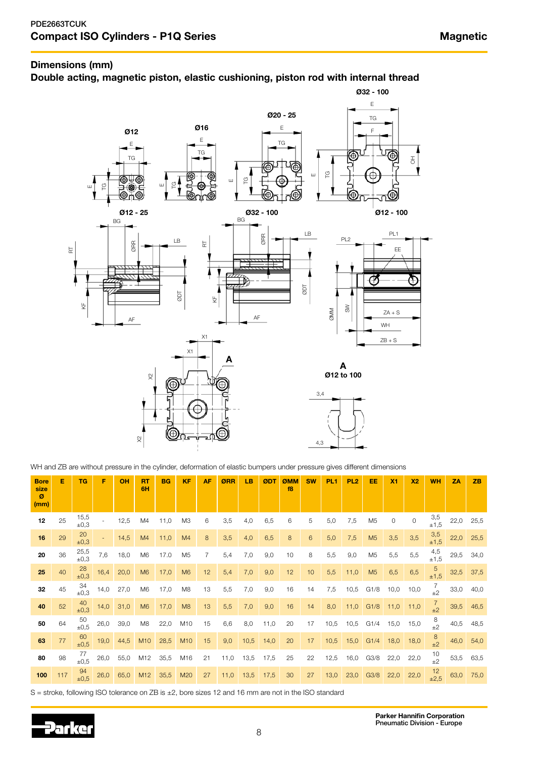# Dimensions (mm)

Double acting, magnetic piston, elastic cushioning, piston rod with internal thread



WH and ZB are without pressure in the cylinder, deformation of elastic bumpers under pressure gives different dimensions

| <b>Bore</b><br>size<br>ø<br>(mm) | Е   | <b>TG</b>         | F    | OH   | RT<br>6H        | <b>BG</b> | <b>KF</b>       | <b>AF</b> | ØRR  | LВ   | ØD1  | ØMM<br>f <sub>8</sub> | <b>SW</b> | PL <sub>1</sub> | PL <sub>2</sub> | EE             | X <sub>1</sub> | <b>X2</b> | <b>WH</b>          | ZA   | <b>ZB</b> |
|----------------------------------|-----|-------------------|------|------|-----------------|-----------|-----------------|-----------|------|------|------|-----------------------|-----------|-----------------|-----------------|----------------|----------------|-----------|--------------------|------|-----------|
| 12                               | 25  | 15,5<br>$\pm 0.3$ | ٠    | 12,5 | M4              | 11,0      | M <sub>3</sub>  | 6         | 3,5  | 4,0  | 6,5  | 6                     | 5         | 5,0             | 7,5             | M <sub>5</sub> | 0              | $\circ$   | 3,5<br>±1,5        | 22,0 | 25,5      |
| 16                               | 29  | 20<br>±0,3        |      | 14,5 | M4              | 11,0      | M4              | 8         | 3,5  | 4,0  | 6,5  | 8                     | 6         | 5,0             | 7,5             | M <sub>5</sub> | 3,5            | 3,5       | $3,5$<br>$\pm 1,5$ | 22,0 | 25,5      |
| 20                               | 36  | 25,5<br>±0,3      | 7,6  | 18,0 | M <sub>6</sub>  | 17.0      | M <sub>5</sub>  | 7         | 5,4  | 7,0  | 9,0  | 10                    | 8         | 5,5             | 9,0             | M <sub>5</sub> | 5,5            | 5,5       | 4,5<br>±1,5        | 29,5 | 34,0      |
| 25                               | 40  | $28$<br>$\pm 0.3$ | 16,4 | 20,0 | M <sub>6</sub>  | 17,0      | M <sub>6</sub>  | 12        | 5,4  | 7,0  | 9,0  | 12                    | 10        | 5,5             | 11,0            | M <sub>5</sub> | 6,5            | 6,5       | $5$ ± 1,5          | 32,5 | 37,5      |
| 32                               | 45  | 34<br>±0.3        | 14,0 | 27,0 | M <sub>6</sub>  | 17,0      | M <sub>8</sub>  | 13        | 5,5  | 7,0  | 9,0  | 16                    | 14        | 7,5             | 10,5            | G1/8           | 10,0           | 10,0      | ±2                 | 33,0 | 40,0      |
| 40                               | 52  | 40<br>±0.3        | 14,0 | 31,0 | M <sub>6</sub>  | 17,0      | M <sub>8</sub>  | 13        | 5,5  | 7,0  | 9,0  | 16                    | 14        | 8,0             | 11,0            | G1/8           | 11,0           | 11,0      | $\frac{7}{12}$     | 39,5 | 46,5      |
| 50                               | 64  | 50<br>±0.5        | 26,0 | 39,0 | M <sub>8</sub>  | 22,0      | M10             | 15        | 6,6  | 8,0  | 11,0 | 20                    | 17        | 10,5            | 10,5            | G1/4           | 15,0           | 15,0      | $8\n\pm 2$         | 40,5 | 48,5      |
| 63                               | 77  | 60<br>±0,5        | 19,0 | 44,5 | M <sub>10</sub> | 28,5      | M <sub>10</sub> | 15        | 9,0  | 10,5 | 14,0 | 20                    | 17        | 10,5            | 15,0            | G1/4           | 18,0           | 18,0      | $\frac{8}{12}$     | 46,0 | 54,0      |
| 80                               | 98  | 77<br>±0,5        | 26,0 | 55,0 | M12             | 35,5      | M16             | 21        | 11,0 | 13,5 | 17,5 | 25                    | 22        | 12,5            | 16,0            | G3/8           | 22,0           | 22,0      | $\frac{10}{12}$    | 53,5 | 63,5      |
| 100                              | 117 | 94<br>±0,5        | 26,0 | 65,0 | M <sub>12</sub> | 35,5      | M20             | 27        | 11,0 | 13,5 | 17,5 | 30                    | 27        | 13,0            | 23,0            | G3/8           | 22,0           | 22,0      | $12$<br>±2,5       | 63,0 | 75,0      |

S = stroke, following ISO tolerance on ZB is ±2, bore sizes 12 and 16 mm are not in the ISO standard

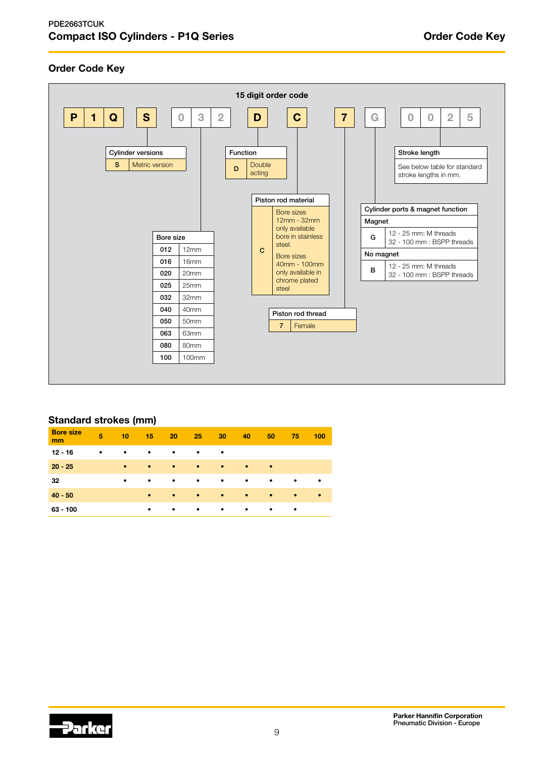# Order Code Key



# Standard strokes (mm)

| <b>Bore size</b><br>mm | 5         | 10        | 15        | 20        | 25        | 30        | 40        | 50        | 75        | 100       |
|------------------------|-----------|-----------|-----------|-----------|-----------|-----------|-----------|-----------|-----------|-----------|
| $12 - 16$              | $\bullet$ | $\bullet$ | $\bullet$ | $\bullet$ | $\bullet$ | $\bullet$ |           |           |           |           |
| $20 - 25$              |           | $\bullet$ | $\bullet$ | $\bullet$ | $\bullet$ | $\bullet$ | $\bullet$ | $\bullet$ |           |           |
| 32                     |           | $\bullet$ | $\bullet$ | $\bullet$ | $\bullet$ | $\bullet$ | $\bullet$ | $\bullet$ | $\bullet$ | $\bullet$ |
| $40 - 50$              |           |           | $\bullet$ | $\bullet$ | $\bullet$ | $\bullet$ | $\bullet$ | $\bullet$ | $\bullet$ | $\bullet$ |
| $63 - 100$             |           |           | $\bullet$ | ٠         | $\bullet$ | $\bullet$ | $\bullet$ | $\bullet$ | ٠         |           |

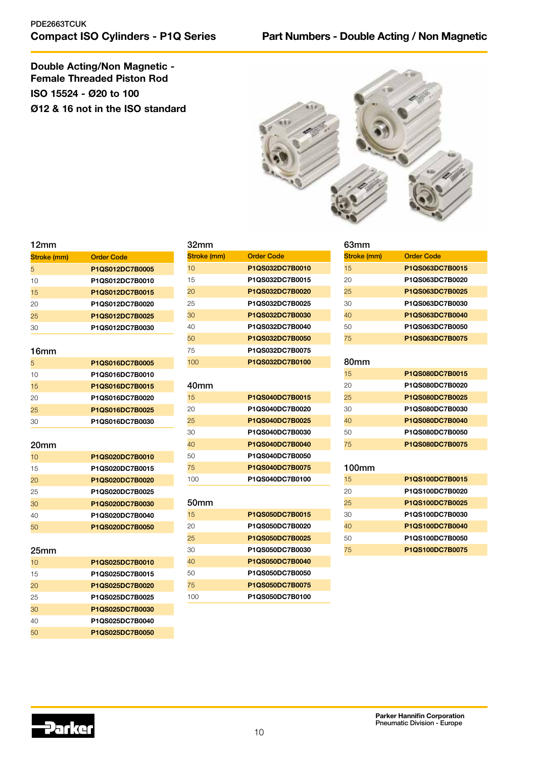# Double Acting/Non Magnetic - Female Threaded Piston Rod ISO 15524 - Ø20 to 100 Ø12 & 16 not in the ISO standard



| 12mm               |                   |
|--------------------|-------------------|
| <b>Stroke (mm)</b> | <b>Order Code</b> |
| 5                  | P1QS012DC7B0005   |
| 10                 | P1QS012DC7B0010   |
| 15                 | P1QS012DC7B0015   |
| 20                 | P1QS012DC7B0020   |
| 25                 | P1QS012DC7B0025   |
| 30                 | P1QS012DC7B0030   |
|                    |                   |
| 16mm               |                   |
| 5                  | P1QS016DC7B0005   |
| 10                 | P1QS016DC7B0010   |
| 15                 | P1QS016DC7B0015   |
| 20                 | P1QS016DC7B0020   |
| 25                 | P1QS016DC7B0025   |
| 30                 | P1QS016DC7B0030   |
|                    |                   |
| 20mm               |                   |
| 10                 | P1QS020DC7B0010   |
| 15                 | P1QS020DC7B0015   |
| 20                 | P1QS020DC7B0020   |
| 25                 | P1QS020DC7B0025   |
| 30                 | P1QS020DC7B0030   |
| 40                 | P1QS020DC7B0040   |
| 50                 | P1QS020DC7B0050   |
|                    |                   |
| 25mm               |                   |
| 10                 | P1QS025DC7B0010   |
| 15                 | P1QS025DC7B0015   |
| 20                 | P1QS025DC7B0020   |
| 25                 | P1QS025DC7B0025   |
| 30                 | P1QS025DC7B0030   |
| 40                 | P1QS025DC7B0040   |

| ı.<br>ı |
|---------|
|         |

| uzuun       |                   |
|-------------|-------------------|
| Stroke (mm) | <b>Order Code</b> |
| 10          | P1QS032DC7B0010   |
| 15          | P1QS032DC7B0015   |
| 20          | P1QS032DC7B0020   |
| 25          | P1QS032DC7B0025   |
| 30          | P1QS032DC7B0030   |
| 40          | P1QS032DC7B0040   |
| 50          | P1QS032DC7B0050   |
| 75          | P1QS032DC7B0075   |
| 100         | P1QS032DC7B0100   |
|             |                   |

| ٩ |  |  |  |
|---|--|--|--|
|   |  |  |  |

| 15  | P1QS040DC7B0015 |
|-----|-----------------|
| 20  | P1QS040DC7B0020 |
| 25  | P1QS040DC7B0025 |
| 30  | P1QS040DC7B0030 |
| 40  | P1QS040DC7B0040 |
| 50  | P1QS040DC7B0050 |
| 75  | P1QS040DC7B0075 |
| 100 | P1QS040DC7B0100 |
|     |                 |

| 50mm |                 |
|------|-----------------|
| 15   | P1QS050DC7B0015 |
| 20   | P1QS050DC7B0020 |
| 25   | P1QS050DC7B0025 |
| 30   | P1QS050DC7B0030 |
| 40   | P1QS050DC7B0040 |
| 50   | P1QS050DC7B0050 |
| 75   | P1QS050DC7B0075 |
| 100  | P1QS050DC7B0100 |

| 63mm        |                 |
|-------------|-----------------|
| Stroke (mm) | Order Code      |
| 15          | P1QS063DC7B0015 |
| 20          | P1QS063DC7B0020 |
| 25          | P1QS063DC7B0025 |
| 30          | P1QS063DC7B0030 |
| 40          | P1QS063DC7B0040 |
| 50          | P1QS063DC7B0050 |
| 75          | P1QS063DC7B0075 |

#### 80mm

| 15 | P1QS080DC7B0015 |
|----|-----------------|
| 20 | P1QS080DC7B0020 |
| 25 | P1QS080DC7B0025 |
| 30 | P1QS080DC7B0030 |
| 40 | P1QS080DC7B0040 |
| 50 | P1QS080DC7B0050 |
| 75 | P1QS080DC7B0075 |
|    |                 |

### 100mm

| 15 | P1QS100DC7B0015 |
|----|-----------------|
| 20 | P1QS100DC7B0020 |
| 25 | P1QS100DC7B0025 |
| 30 | P1QS100DC7B0030 |
| 40 | P1QS100DC7B0040 |
| 50 | P1QS100DC7B0050 |
| 75 | P1QS100DC7B0075 |

P1QS025DC7B0050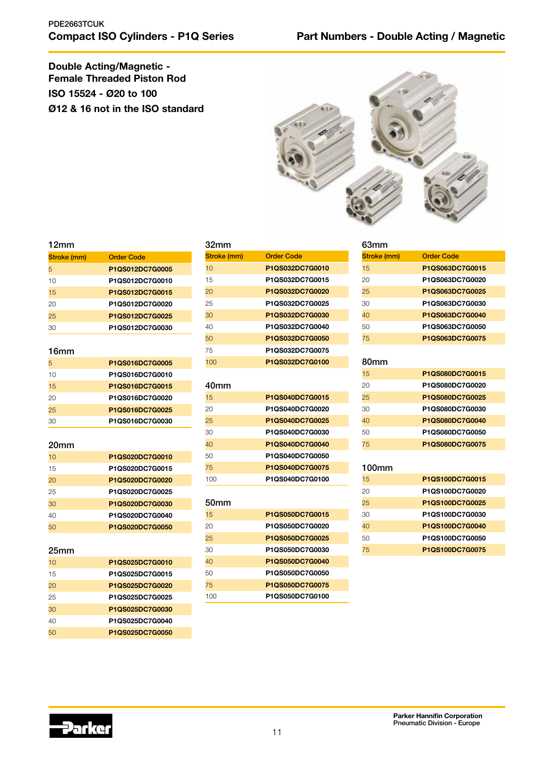# Double Acting/Magnetic - Female Threaded Piston Rod ISO 15524 - Ø20 to 100 Ø12 & 16 not in the ISO standard



#### 12mm

| Stroke (mm) | Order Code      |
|-------------|-----------------|
| 5           | P1QS012DC7G0005 |
| 10          | P1QS012DC7G0010 |
| 15          | P1QS012DC7G0015 |
| 20          | P1QS012DC7G0020 |
| 25          | P1QS012DC7G0025 |
| 30          | P1QS012DC7G0030 |

### 16mm

| P1QS016DC7G0005 |
|-----------------|
| P1QS016DC7G0010 |
| P1QS016DC7G0015 |
| P1QS016DC7G0020 |
| P1QS016DC7G0025 |
| P1QS016DC7G0030 |
|                 |

#### 20mm

| 10 | P1QS020DC7G0010 |
|----|-----------------|
| 15 | P1QS020DC7G0015 |
| 20 | P1QS020DC7G0020 |
| 25 | P1QS020DC7G0025 |
| 30 | P1QS020DC7G0030 |
| 40 | P1QS020DC7G0040 |
| 50 | P1QS020DC7G0050 |

#### 25mm

| 10 | P1QS025DC7G0010 |
|----|-----------------|
| 15 | P1QS025DC7G0015 |
| 20 | P1QS025DC7G0020 |
| 25 | P1QS025DC7G0025 |
| 30 | P1QS025DC7G0030 |
| 40 | P1QS025DC7G0040 |
| 50 | P1QS025DC7G0050 |

#### 32mm

| Stroke (mm) | <b>Order Code</b> |
|-------------|-------------------|
| 10          | P1QS032DC7G0010   |
| 15          | P1QS032DC7G0015   |
| 20          | P1QS032DC7G0020   |
| 25          | P1QS032DC7G0025   |
| 30          | P1QS032DC7G0030   |
| 40          | P1QS032DC7G0040   |
| 50          | P1QS032DC7G0050   |
| 75          | P1QS032DC7G0075   |
| 100         | P1QS032DC7G0100   |

#### 40mm

| P1QS040DC7G0015 |
|-----------------|
| P1QS040DC7G0020 |
| P1QS040DC7G0025 |
| P1QS040DC7G0030 |
| P1QS040DC7G0040 |
| P1QS040DC7G0050 |
| P1QS040DC7G0075 |
| P1QS040DC7G0100 |
|                 |

# 50mm

| 15  | P1QS050DC7G0015 |
|-----|-----------------|
| 20  | P1QS050DC7G0020 |
| 25  | P1QS050DC7G0025 |
| 30  | P1QS050DC7G0030 |
| 40  | P1QS050DC7G0040 |
| 50  | P1QS050DC7G0050 |
| 75  | P1QS050DC7G0075 |
| 100 | P1QS050DC7G0100 |

## 63mm

| Stroke (mm) | Order Code      |
|-------------|-----------------|
| 15          | P1QS063DC7G0015 |
| 20          | P1QS063DC7G0020 |
| 25          | P1QS063DC7G0025 |
| 30          | P1QS063DC7G0030 |
| 40          | P1QS063DC7G0040 |
| 50          | P1QS063DC7G0050 |
| 75          | P1QS063DC7G0075 |

# 80mm

| 15 | P1QS080DC7G0015 |
|----|-----------------|
| 20 | P1QS080DC7G0020 |
| 25 | P1QS080DC7G0025 |
| 30 | P1QS080DC7G0030 |
| 40 | P1QS080DC7G0040 |
| 50 | P1QS080DC7G0050 |
| 75 | P1QS080DC7G0075 |

# 100mm

| 15 | P1QS100DC7G0015 |
|----|-----------------|
| 20 | P1QS100DC7G0020 |
| 25 | P1QS100DC7G0025 |
| 30 | P1QS100DC7G0030 |
| 40 | P1QS100DC7G0040 |
| 50 | P1QS100DC7G0050 |
| 75 | P1QS100DC7G0075 |

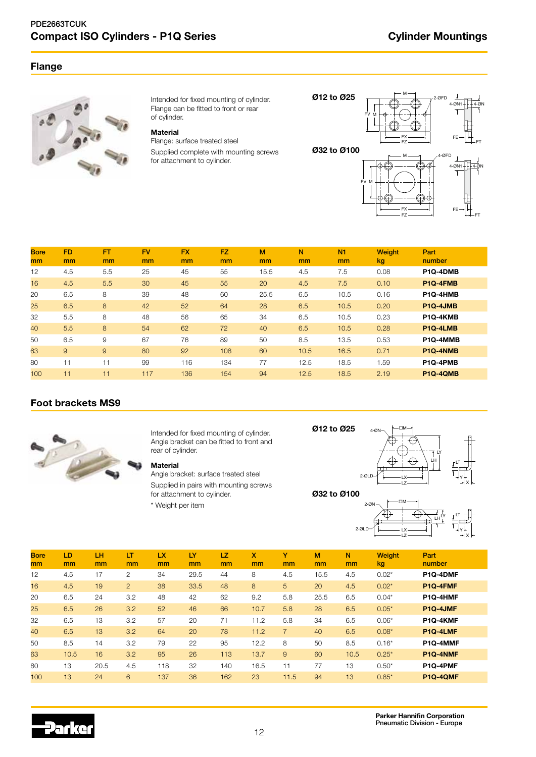## Flange



Intended for fixed mounting of cylinder. Flange can be fitted to front or rear of cylinder.

# Material

Flange: surface treated steel Supplied complete with mounting screws for attachment to cylinder.

| Ø12 to Ø25  | - M-<br>$-2-0FD$<br>FV M<br><b>FX</b><br>FZ- | $+4-ON$<br>$4 - ØN1 +$<br>FE-<br><b>FT</b> |
|-------------|----------------------------------------------|--------------------------------------------|
| Ø32 to Ø100 | $4-ØFD$<br>M                                 |                                            |
|             | <b>FV</b><br>M                               | $\frac{1}{4}$ -ØN<br>$4-ØN1-$              |
|             |                                              |                                            |
|             | FX<br>FZ                                     | $FE \rightarrow$<br>ŀ۰<br>$-FT$            |

| <b>Bore</b><br>mm | <b>FD</b><br>mm | <b>FT</b><br>mm | <b>FV</b><br>m <sub>m</sub> | <b>FX</b><br><sub>mm</sub> | FZ.<br>mm | M<br>mm | N<br>mm | N <sub>1</sub><br>mm | <b>Weight</b><br>kg | Part<br>number  |
|-------------------|-----------------|-----------------|-----------------------------|----------------------------|-----------|---------|---------|----------------------|---------------------|-----------------|
| 12                | 4.5             | 5.5             | 25                          | 45                         | 55        | 15.5    | 4.5     | 7.5                  | 0.08                | P1Q-4DMB        |
| 16                | 4.5             | 5.5             | 30                          | 45                         | 55        | 20      | 4.5     | 7.5                  | 0.10                | P1Q-4FMB        |
| 20                | 6.5             | 8               | 39                          | 48                         | 60        | 25.5    | 6.5     | 10.5                 | 0.16                | P1Q-4HMB        |
| 25                | 6.5             | 8               | 42                          | 52                         | 64        | 28      | 6.5     | 10.5                 | 0.20                | P1Q-4JMB        |
| 32                | 5.5             | 8               | 48                          | 56                         | 65        | 34      | 6.5     | 10.5                 | 0.23                | P1Q-4KMB        |
| 40                | 5.5             | 8               | 54                          | 62                         | 72        | 40      | 6.5     | 10.5                 | 0.28                | P1Q-4LMB        |
| 50                | 6.5             | 9               | 67                          | 76                         | 89        | 50      | 8.5     | 13.5                 | 0.53                | P1Q-4MMB        |
| 63                | 9               | $\overline{9}$  | 80                          | 92                         | 108       | 60      | 10.5    | 16.5                 | 0.71                | P1Q-4NMB        |
| 80                | 11              | 11              | 99                          | 116                        | 134       | 77      | 12.5    | 18.5                 | 1.59                | P1Q-4PMB        |
| 100               | 11              | 11              | 117                         | 136                        | 154       | 94      | 12.5    | 18.5                 | 2.19                | <b>P1Q-4QMB</b> |

# Foot brackets MS9



#### Intended for fixed mounting of cylinder. Angle bracket can be fitted to front and rear of cylinder.

#### Material

Angle bracket: surface treated steel Supplied in pairs with mounting screws for attachment to cylinder. \* Weight per item





Ø32 to Ø100



| <b>Bore</b><br>mm | LD<br>mm | LH<br>mm | LT<br>mm       | LX<br>mm | LY<br>mm | LZ<br>mm | X<br>mm | Y<br>mm        | M<br>mm | N<br>mm | <b>Weight</b><br>kg | Part<br>number  |
|-------------------|----------|----------|----------------|----------|----------|----------|---------|----------------|---------|---------|---------------------|-----------------|
| 12                | 4.5      | 17       | 2              | 34       | 29.5     | 44       | 8       | 4.5            | 15.5    | 4.5     | $0.02*$             | P1Q-4DMF        |
| 16                | 4.5      | 19       | $\overline{2}$ | 38       | 33.5     | 48       | 8       | $5^{\circ}$    | 20      | 4.5     | $0.02*$             | P1Q-4FMF        |
| 20                | 6.5      | 24       | 3.2            | 48       | 42       | 62       | 9.2     | 5.8            | 25.5    | 6.5     | $0.04*$             | P1Q-4HMF        |
| 25                | 6.5      | 26       | 3.2            | 52       | 46       | 66       | 10.7    | 5.8            | 28      | 6.5     | $0.05*$             | P1Q-4JMF        |
| 32                | 6.5      | 13       | 3.2            | 57       | 20       | 71       | 11.2    | 5.8            | 34      | 6.5     | $0.06*$             | P1Q-4KMF        |
| 40                | 6.5      | 13       | 3.2            | 64       | 20       | 78       | 11.2    | $\overline{7}$ | 40      | 6.5     | $0.08*$             | P1Q-4LMF        |
| 50                | 8.5      | 14       | 3.2            | 79       | 22       | 95       | 12.2    | 8              | 50      | 8.5     | $0.16*$             | P1Q-4MMF        |
| 63                | 10.5     | 16       | 3.2            | 95       | 26       | 113      | 13.7    | 9              | 60      | 10.5    | $0.25*$             | P1Q-4NMF        |
| 80                | 13       | 20.5     | 4.5            | 118      | 32       | 140      | 16.5    | 11             | 77      | 13      | $0.50*$             | P1Q-4PMF        |
| 100               | 13       | 24       | 6              | 137      | 36       | 162      | 23      | 11.5           | 94      | 13      | $0.85*$             | <b>P1Q-4QMF</b> |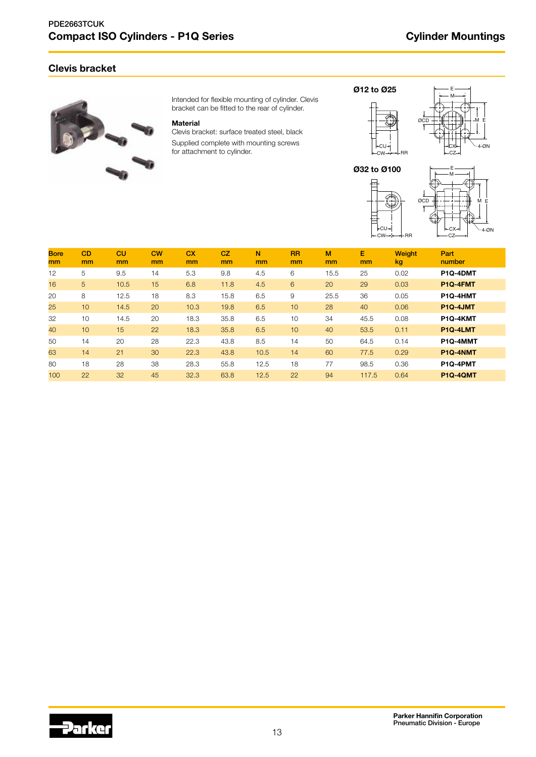M E

# Clevis bracket



#### Intended for flexible mounting of cylinder. Clevis bracket can be fitted to the rear of cylinder.

#### **Material**

Clevis bracket: surface treated steel, black Supplied complete with mounting screws for attachment to cylinder.









CZ

4-ØN

M E

| <b>Bore</b><br>mm | <b>CD</b><br>mm | <b>CU</b><br>mm | CW<br>mm | cx<br>mm | CZ<br>mm | N<br>mm | <b>RR</b><br>mm | M<br>mm | Е<br>mm | <b>Weight</b><br>kg | Part<br>number  |
|-------------------|-----------------|-----------------|----------|----------|----------|---------|-----------------|---------|---------|---------------------|-----------------|
| 12                | 5               | 9.5             | 14       | 5.3      | 9.8      | 4.5     | 6               | 15.5    | 25      | 0.02                | P1Q-4DMT        |
| 16                | 5               | 10.5            | 15       | 6.8      | 11.8     | 4.5     | 6               | 20      | 29      | 0.03                | P1Q-4FMT        |
| 20                | 8               | 12.5            | 18       | 8.3      | 15.8     | 6.5     | 9               | 25.5    | 36      | 0.05                | P1Q-4HMT        |
| 25                | 10              | 14.5            | 20       | 10.3     | 19.8     | 6.5     | 10              | 28      | 40      | 0.06                | <b>P1Q-4JMT</b> |
| 32                | 10              | 14.5            | 20       | 18.3     | 35.8     | 6.5     | 10              | 34      | 45.5    | 0.08                | P1Q-4KMT        |
| 40                | 10              | 15              | 22       | 18.3     | 35.8     | 6.5     | 10              | 40      | 53.5    | 0.11                | P1Q-4LMT        |
| 50                | 14              | 20              | 28       | 22.3     | 43.8     | 8.5     | 14              | 50      | 64.5    | 0.14                | P1Q-4MMT        |
| 63                | 14              | 21              | 30       | 22.3     | 43.8     | 10.5    | 14              | 60      | 77.5    | 0.29                | P1Q-4NMT        |
| 80                | 18              | 28              | 38       | 28.3     | 55.8     | 12.5    | 18              | 77      | 98.5    | 0.36                | P1Q-4PMT        |
| 100               | 22              | 32              | 45       | 32.3     | 63.8     | 12.5    | 22              | 94      | 117.5   | 0.64                | <b>P1Q-4QMT</b> |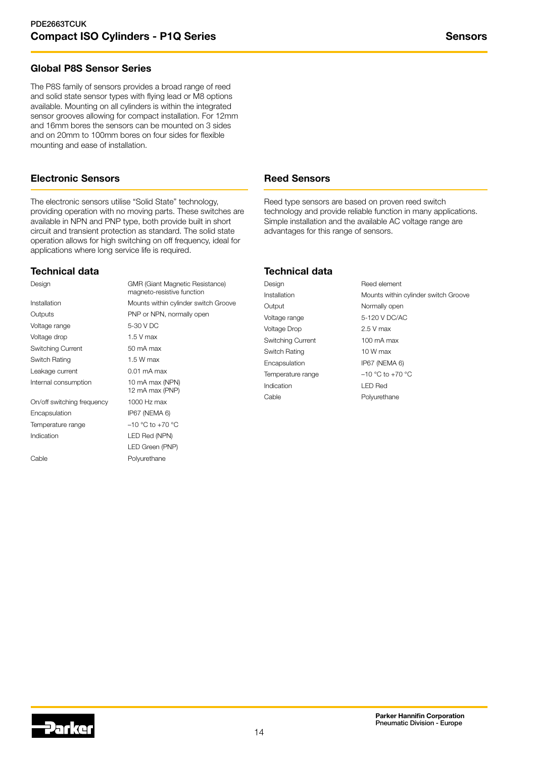# Global P8S Sensor Series

The P8S family of sensors provides a broad range of reed and solid state sensor types with flying lead or M8 options available. Mounting on all cylinders is within the integrated sensor grooves allowing for compact installation. For 12mm and 16mm bores the sensors can be mounted on 3 sides and on 20mm to 100mm bores on four sides for flexible mounting and ease of installation.

# Electronic Sensors

The electronic sensors utilise "Solid State" technology, providing operation with no moving parts. These switches are available in NPN and PNP type, both provide built in short circuit and transient protection as standard. The solid state operation allows for high switching on off frequency, ideal for applications where long service life is required.

# Technical data

| Design                     | <b>GMR (Giant Magnetic Resistance)</b><br>magneto-resistive function |
|----------------------------|----------------------------------------------------------------------|
| Installation               | Mounts within cylinder switch Groe                                   |
| Outputs                    | PNP or NPN, normally open                                            |
| Voltage range              | 5-30 V DC                                                            |
| Voltage drop               | $1.5V$ max                                                           |
| <b>Switching Current</b>   | 50 mA max                                                            |
| Switch Rating              | $1.5 W$ max                                                          |
| Leakage current            | $0.01 \text{ mA max}$                                                |
| Internal consumption       | 10 mA max (NPN)<br>12 mA max (PNP)                                   |
| On/off switching frequency | $1000$ Hz max                                                        |
| Encapsulation              | IP67 (NEMA 6)                                                        |
| Temperature range          | $-10$ °C to $+70$ °C                                                 |
| Indication                 | LED Red (NPN)                                                        |
|                            | LED Green (PNP)                                                      |
|                            |                                                                      |

within cylinder switch Groove NPN, normally open nax (NPN) nax (PNP)  $EMA 6$  $to +70 °C$ Indication Let  $\mathsf{N}$ en (PNP) Cable **Polyurethane** 

# Reed Sensors

Reed type sensors are based on proven reed switch technology and provide reliable function in many applications. Simple installation and the available AC voltage range are advantages for this range of sensors.

# Technical data

Output **Normally open** Voltage range 5-120 V DC/AC Voltage Drop 2.5 V max Switching Current 100 mA max Switch Rating 10 W max Encapsulation IP67 (NEMA 6) Temperature range  $-10 \degree C$  to +70  $\degree C$ Indication LED Red Cable Polyurethane

Design Reed element Installation Mounts within cylinder switch Groove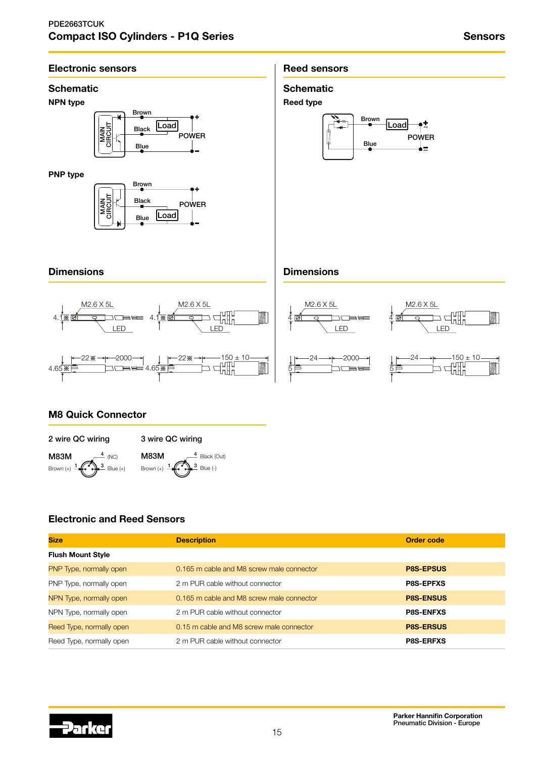# Electronic sensors Reed sensors Reed sensors



#### PNP type





#### NPN type Reed type



# Dimensions Dimensions



# M8 Quick Connector

2 wire QC wiring 3 wire QC wiring 2 wire QC wiring M83M M83M $\frac{1}{2}$  Blue (+  $\frac{4}{\pi}$  (NC)  $\frac{3}{2}$  Blue (-) M83M  $4^4$ Black (out) Black (Out) Brown  $(+)$   $\frac{1}{\sqrt{2}}$   $\frac{1}{\sqrt{2}}$  Blue  $($   $)$ Brown  $(+) - \bullet \bullet \bullet \bullet$  Blue  $(+)$ 3 wire QC wiring

# **Electronic and Reed Sensors**

| <b>Size</b>              | <b>Description</b>                        | <b>Order code</b> |
|--------------------------|-------------------------------------------|-------------------|
| <b>Flush Mount Style</b> |                                           |                   |
| PNP Type, normally open  | 0.165 m cable and M8 screw male connector | <b>P8S-EPSUS</b>  |
| PNP Type, normally open  | 2 m PUR cable without connector           | <b>P8S-EPFXS</b>  |
| NPN Type, normally open  | 0.165 m cable and M8 screw male connector | <b>P8S-ENSUS</b>  |
| NPN Type, normally open  | 2 m PUR cable without connector           | <b>P8S-ENFXS</b>  |
| Reed Type, normally open | 0.15 m cable and M8 screw male connector  | <b>P8S-ERSUS</b>  |
| Reed Type, normally open | 2 m PUR cable without connector           | <b>P8S-ERFXS</b>  |

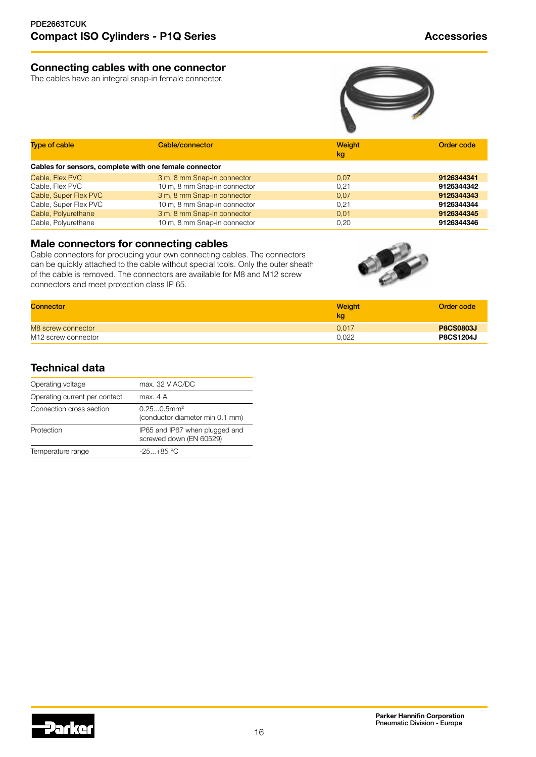# Connecting cables with one connector

The cables have an integral snap-in female connector.



| <b>Type of cable</b>                                   | Cable/connector              | <b>Weight</b><br>kg | Order code |  |  |  |  |
|--------------------------------------------------------|------------------------------|---------------------|------------|--|--|--|--|
| Cables for sensors, complete with one female connector |                              |                     |            |  |  |  |  |
| Cable, Flex PVC                                        | 3 m, 8 mm Snap-in connector  | 0.07                | 9126344341 |  |  |  |  |
| Cable, Flex PVC                                        | 10 m, 8 mm Snap-in connector | 0.21                | 9126344342 |  |  |  |  |
| Cable, Super Flex PVC                                  | 3 m, 8 mm Snap-in connector  | 0.07                | 9126344343 |  |  |  |  |
| Cable, Super Flex PVC                                  | 10 m, 8 mm Snap-in connector | 0.21                | 9126344344 |  |  |  |  |
| Cable, Polyurethane                                    | 3 m, 8 mm Snap-in connector  | 0.01                | 9126344345 |  |  |  |  |
| Cable, Polyurethane                                    | 10 m, 8 mm Snap-in connector | 0.20                | 9126344346 |  |  |  |  |

# Male connectors for connecting cables

Cable connectors for producing your own connecting cables. The connectors can be quickly attached to the cable without special tools. Only the outer sheath of the cable is removed. The connectors are available for M8 and M12 screw connectors and meet protection class IP 65.



| <b>Connector</b>    | <b>Weight</b><br>ka | Order code       |
|---------------------|---------------------|------------------|
| M8 screw connector  | 0.017               | <b>P8CS0803J</b> |
| M12 screw connector | 0.022               | <b>P8CS1204J</b> |

# Technical data

| Operating voltage             | max. 32 V AC/DC                                              |
|-------------------------------|--------------------------------------------------------------|
| Operating current per contact | max. 4 A                                                     |
| Connection cross section      | $0.250.5$ mm <sup>2</sup><br>(conductor diameter min 0.1 mm) |
| Protection                    | IP65 and IP67 when plugged and<br>screwed down (EN 60529)    |
| Temperature range             | $-25+85$ °C                                                  |

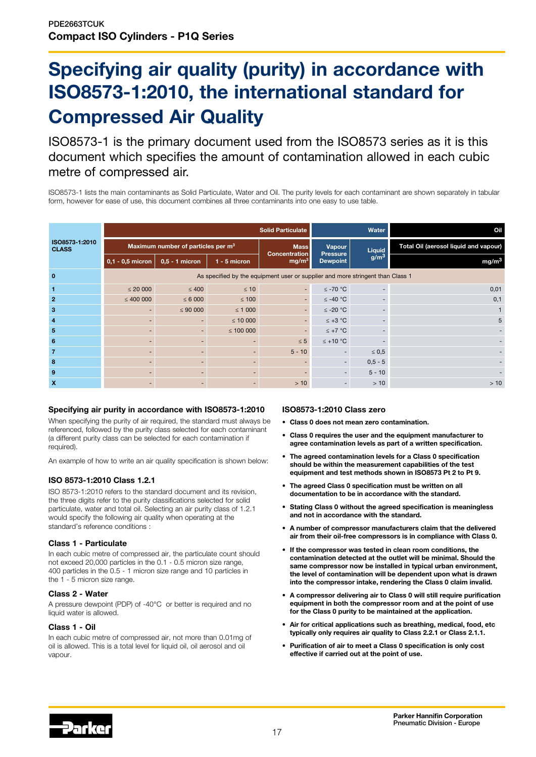# Specifying air quality (purity) in accordance with ISO8573-1:2010, the international standard for Compressed Air Quality

ISO8573-1 is the primary document used from the ISO8573 series as it is this document which specifies the amount of contamination allowed in each cubic metre of compressed air.

ISO8573-1 lists the main contaminants as Solid Particulate, Water and Oil. The purity levels for each contaminant are shown separately in tabular form, however for ease of use, this document combines all three contaminants into one easy to use table.

| ISO8573-1:2010<br><b>CLASS</b> | <b>Solid Particulate</b>                                                       |                  |                | Water                                     |                                    | Oil              |                                       |  |  |  |
|--------------------------------|--------------------------------------------------------------------------------|------------------|----------------|-------------------------------------------|------------------------------------|------------------|---------------------------------------|--|--|--|
|                                | Maximum number of particles per m <sup>3</sup>                                 |                  |                | <b>Mass</b>                               | Vapour                             | Liquid           | Total Oil (aerosol liquid and vapour) |  |  |  |
|                                | $0,1 - 0,5$ micron                                                             | $0.5 - 1$ micron | $1 - 5$ micron | <b>Concentration</b><br>mg/m <sup>3</sup> | <b>Pressure</b><br><b>Dewpoint</b> | g/m <sup>3</sup> | mg/m <sup>3</sup>                     |  |  |  |
| $\mathbf{0}$                   | As specified by the equipment user or supplier and more stringent than Class 1 |                  |                |                                           |                                    |                  |                                       |  |  |  |
| 1                              | $\leq 20000$                                                                   | $\leq 400$       | $\leq 10$      | ٠.                                        | $\leq$ -70 °C                      |                  | 0,01                                  |  |  |  |
| $\overline{2}$                 | $\leq 400000$                                                                  | $\leq 6000$      | $\leq 100$     |                                           | $≤ -40 °C$                         |                  | 0,1                                   |  |  |  |
| 3                              | -                                                                              | $\leq$ 90 000    | $\leq 1000$    |                                           | $≤ -20 °C$                         |                  |                                       |  |  |  |
| $\overline{4}$                 |                                                                                |                  | $\leq 10000$   |                                           | $\leq$ +3 °C                       |                  |                                       |  |  |  |
| 5                              |                                                                                |                  | $\leq 100000$  |                                           | $\leq$ +7 °C                       |                  |                                       |  |  |  |
| 6                              |                                                                                |                  |                | $\leq 5$                                  | $≤ +10 °C$                         |                  |                                       |  |  |  |
| 7                              |                                                                                |                  |                | $5 - 10$                                  | $\overline{\phantom{a}}$           | $\leq 0.5$       |                                       |  |  |  |
| 8                              |                                                                                |                  |                |                                           |                                    | $0,5 - 5$        |                                       |  |  |  |
| 9                              |                                                                                |                  |                |                                           | $\overline{\phantom{a}}$           | $5 - 10$         |                                       |  |  |  |
| $\boldsymbol{\mathsf{x}}$      |                                                                                |                  |                | >10                                       |                                    | >10              | >10                                   |  |  |  |

#### Specifying air purity in accordance with ISO8573-1:2010

When specifying the purity of air required, the standard must always be referenced, followed by the purity class selected for each contaminant (a different purity class can be selected for each contamination if required).

An example of how to write an air quality specification is shown below:

#### ISO 8573-1:2010 Class 1.2.1

ISO 8573-1:2010 refers to the standard document and its revision, the three digits refer to the purity classifications selected for solid particulate, water and total oil. Selecting an air purity class of 1.2.1 would specify the following air quality when operating at the standard's reference conditions :

#### Class 1 - Particulate

In each cubic metre of compressed air, the particulate count should not exceed 20,000 particles in the 0.1 - 0.5 micron size range, 400 particles in the 0.5 - 1 micron size range and 10 particles in the 1 - 5 micron size range.

#### Class 2 - Water

A pressure dewpoint (PDP) of -40°C or better is required and no liquid water is allowed.

#### Class 1 - Oil

In each cubic metre of compressed air, not more than 0.01mg of oil is allowed. This is a total level for liquid oil, oil aerosol and oil vapour.

#### ISO8573-1:2010 Class zero

- Class 0 does not mean zero contamination.
- Class 0 requires the user and the equipment manufacturer to agree contamination levels as part of a written specification.
- The agreed contamination levels for a Class 0 specification should be within the measurement capabilities of the test equipment and test methods shown in ISO8573 Pt 2 to Pt 9.
- The agreed Class 0 specification must be written on all documentation to be in accordance with the standard.
- Stating Class 0 without the agreed specification is meaningless and not in accordance with the standard.
- A number of compressor manufacturers claim that the delivered air from their oil-free compressors is in compliance with Class 0.
- If the compressor was tested in clean room conditions, the contamination detected at the outlet will be minimal. Should the same compressor now be installed in typical urban environment, the level of contamination will be dependent upon what is drawn into the compressor intake, rendering the Class 0 claim invalid.
- A compressor delivering air to Class 0 will still require purification equipment in both the compressor room and at the point of use for the Class 0 purity to be maintained at the application.
- Air for critical applications such as breathing, medical, food, etc typically only requires air quality to Class 2.2.1 or Class 2.1.1.
- Purification of air to meet a Class 0 specification is only cost effective if carried out at the point of use.

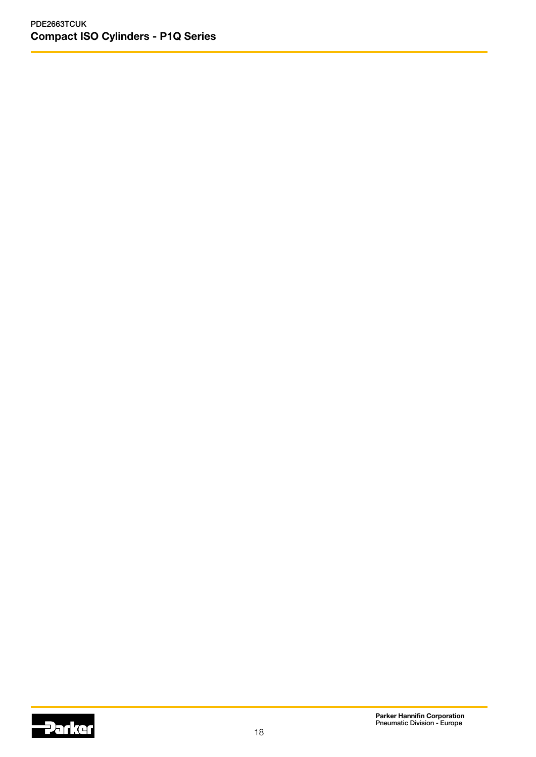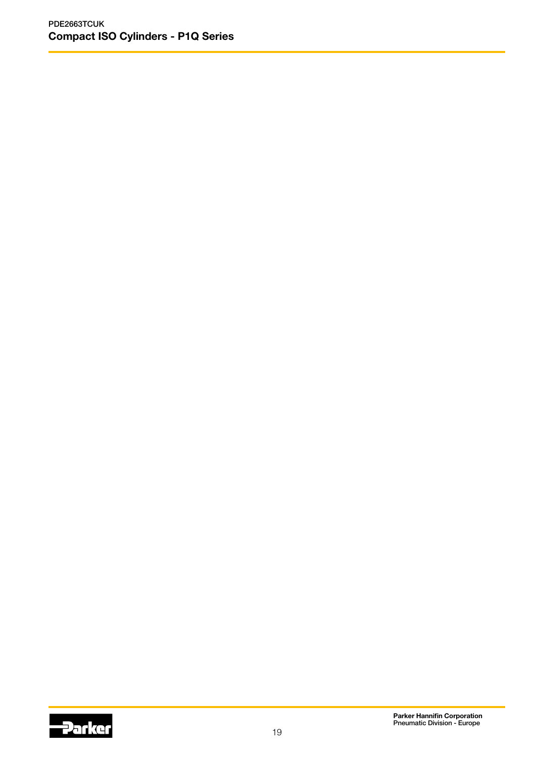